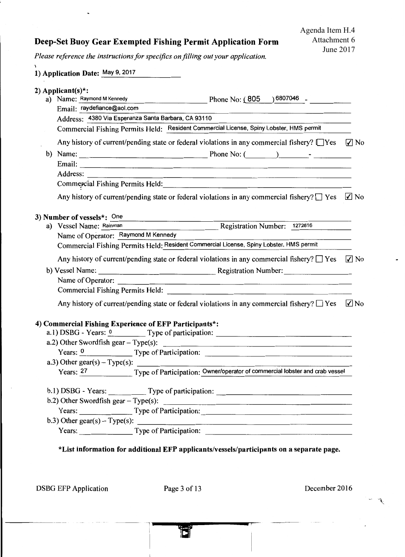## Deep-Set Buoy Gear Exempted Fishing Permit Application Form

*Please reference the instructions for specifics on filling out your application.* 

| 2) Applicant(s)*:                                      |                                                                                                                                                                                                                                                                                               |
|--------------------------------------------------------|-----------------------------------------------------------------------------------------------------------------------------------------------------------------------------------------------------------------------------------------------------------------------------------------------|
| a) Name: Raymond M Kennedy                             | Phone No: $(805)$ 6807046 -                                                                                                                                                                                                                                                                   |
| Email: raydefiance@aol.com                             |                                                                                                                                                                                                                                                                                               |
| Address: 4380 Via Esperanza Santa Barbara, CA 93110    |                                                                                                                                                                                                                                                                                               |
|                                                        | Commercial Fishing Permits Held: Resident Commercial License, Spiny Lobster, HMS permit                                                                                                                                                                                                       |
|                                                        | Any history of current/pending state or federal violations in any commercial fishery? $\Box$ Yes $\Box$ No                                                                                                                                                                                    |
|                                                        |                                                                                                                                                                                                                                                                                               |
|                                                        |                                                                                                                                                                                                                                                                                               |
|                                                        |                                                                                                                                                                                                                                                                                               |
|                                                        |                                                                                                                                                                                                                                                                                               |
|                                                        | Any history of current/pending state or federal violations in any commercial fishery? $\square$ Yes $\square$ No                                                                                                                                                                              |
| 3) Number of vessels*: One                             |                                                                                                                                                                                                                                                                                               |
|                                                        | a) Vessel Name: Rainman Registration Number: 1272816                                                                                                                                                                                                                                          |
| Name of Operator: Raymond M Kennedy                    |                                                                                                                                                                                                                                                                                               |
|                                                        | Commercial Fishing Permits Held: Resident Commercial License, Spiny Lobster, HMS permit                                                                                                                                                                                                       |
|                                                        | Any history of current/pending state or federal violations in any commercial fishery? $\square$ Yes<br>$\sqrt{ }$ No                                                                                                                                                                          |
|                                                        |                                                                                                                                                                                                                                                                                               |
|                                                        |                                                                                                                                                                                                                                                                                               |
|                                                        |                                                                                                                                                                                                                                                                                               |
|                                                        | $\nabla$ No<br>Any history of current/pending state or federal violations in any commercial fishery? $\Box$ Yes                                                                                                                                                                               |
| 4) Commercial Fishing Experience of EFP Participants*: |                                                                                                                                                                                                                                                                                               |
|                                                        |                                                                                                                                                                                                                                                                                               |
| a.2) Other Swordfish gear $-$ Type(s):                 |                                                                                                                                                                                                                                                                                               |
| Years: $0$<br>Type of Participation:                   |                                                                                                                                                                                                                                                                                               |
|                                                        | Years: 27 Type of Participation: Owner/operator of commercial lobster and crab vessel                                                                                                                                                                                                         |
|                                                        |                                                                                                                                                                                                                                                                                               |
|                                                        |                                                                                                                                                                                                                                                                                               |
| b.2) Other Swordfish gear $-$ Type(s):                 | <u> 1988 - Johann Barn, mars an t-Amerikaansk politiker (* 1908)</u>                                                                                                                                                                                                                          |
|                                                        | Years: Type of Participation: Type of Participation:                                                                                                                                                                                                                                          |
|                                                        | b.3) Other gear(s) – Type(s): $\frac{1}{2}$ = $\frac{1}{2}$ = $\frac{1}{2}$ = $\frac{1}{2}$ = $\frac{1}{2}$ = $\frac{1}{2}$ = $\frac{1}{2}$ = $\frac{1}{2}$ = $\frac{1}{2}$ = $\frac{1}{2}$ = $\frac{1}{2}$ = $\frac{1}{2}$ = $\frac{1}{2}$ = $\frac{1}{2}$ = $\frac{1}{2}$ = $\frac{1}{2}$ = |
|                                                        |                                                                                                                                                                                                                                                                                               |

DSBG EFP Application Page 3 of 13 December 2016

í.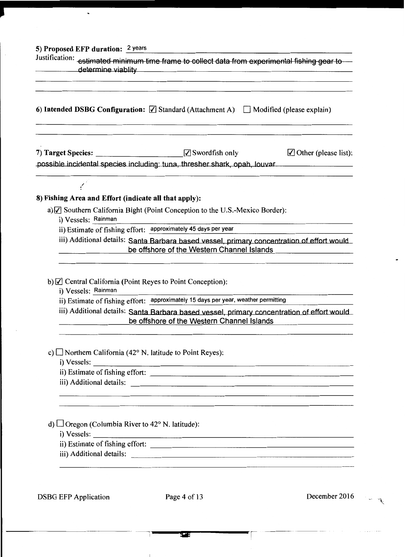## 5) Proposed EFP duration: <sup>2</sup> years

 $\tilde{\phantom{a}}$ 

| Justification: estimated minimum time frame to collect data from experimental fishing gear to<br>determine viablity<br>6) Intended DSBG Configuration: $\Box$ Standard (Attachment A) $\Box$ Modified (please explain) |                                                                                                                                          |               |
|------------------------------------------------------------------------------------------------------------------------------------------------------------------------------------------------------------------------|------------------------------------------------------------------------------------------------------------------------------------------|---------------|
|                                                                                                                                                                                                                        |                                                                                                                                          |               |
|                                                                                                                                                                                                                        |                                                                                                                                          |               |
| 8) Fishing Area and Effort (indicate all that apply):                                                                                                                                                                  |                                                                                                                                          |               |
|                                                                                                                                                                                                                        | a) [7] Southern California Bight (Point Conception to the U.S.-Mexico Border):                                                           |               |
| i) Vessels: Rainman<br>ii) Estimate of fishing effort: approximately 45 days per year                                                                                                                                  |                                                                                                                                          |               |
|                                                                                                                                                                                                                        | iii) Additional details: Santa Barbara based vessel, primary concentration of effort would<br>be offshore of the Western Channel Islands |               |
|                                                                                                                                                                                                                        |                                                                                                                                          |               |
| b) $\Box$ Central California (Point Reyes to Point Conception):<br>i) Vessels: Rainman                                                                                                                                 |                                                                                                                                          |               |
|                                                                                                                                                                                                                        | ii) Estimate of fishing effort: approximately 15 days per year, weather permitting                                                       |               |
|                                                                                                                                                                                                                        | iii) Additional details: Santa Barbara based vessel, primary concentration of effort would<br>be offshore of the Western Channel Islands |               |
| c) $\Box$ Northern California (42° N. latitude to Point Reyes):<br>i) Vessels:                                                                                                                                         |                                                                                                                                          |               |
|                                                                                                                                                                                                                        |                                                                                                                                          |               |
|                                                                                                                                                                                                                        | iii) Additional details:                                                                                                                 |               |
| d) $\Box$ Oregon (Columbia River to 42° N. latitude):<br>i) Vessels:                                                                                                                                                   | <u> 1980 - Andrea Brandon, amerikan basar dan bertama di bandaran bertama di bandaran bertama di bandaran di band</u>                    |               |
|                                                                                                                                                                                                                        | iii) Additional details:                                                                                                                 |               |
| <b>DSBG EFP Application</b>                                                                                                                                                                                            | Page 4 of 13                                                                                                                             | December 2016 |

 $\mathbf{I}$ 

--- ~----~

 $\ddotsc$  $\mathcal{N}$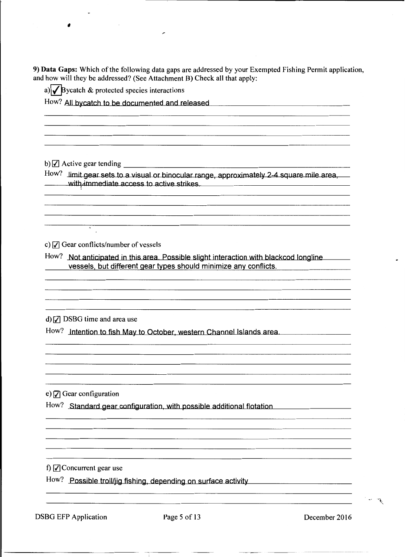9) Data Gaps: Which of the following data gaps are addressed by your Exempted Fishing Permit application, and how will they be addressed? (See Attachment B) Check all that apply:

a)  $\sqrt{\frac{B}}$  ycatch & protected species interactions

How? All bycatch to be documented and released

b)  $\boxed{\mathcal{I}}$  Active gear tending

,

 $How?$  limit gear sets to a visual or binocular range, approximately 2-4 square mile area, with immediate access to active strikes.

c)  $\sqrt{ }$  Gear conflicts/number of vessels

 $\overline{a}$ 

How? Not anticipated in this area. Possible slight interaction with blackcod longline vessels, but different gear types should minimize any conflicts.

d)  $\sqrt{ }$  DSBG time and area use

How? Intention to fish May to October, western Channel Islands area.

e)  $\sqrt{7}$  Gear configuration

How? Standard gear configuration, with possible additional flotation

f)  $\sqrt{ }$  Concurrent gear use

How? Possible troll/jig fishing, depending on surface activity

DSBG EFP Application Page 5 of 13 December 2016